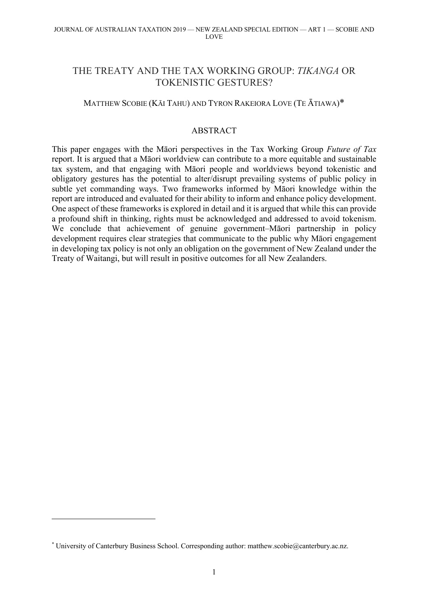# THE TREATY AND THE TAX WORKING GROUP: *TIKANGA* OR TOKENISTIC GESTURES?

## MATTHEW SCOBIE (KĀI TAHU) AND TYRON RAKEIORA LOVE (TE ĀTIAWA)\*

### ABSTRACT

This paper engages with the Māori perspectives in the Tax Working Group *Future of Tax*  report. It is argued that a Māori worldview can contribute to a more equitable and sustainable tax system, and that engaging with Māori people and worldviews beyond tokenistic and obligatory gestures has the potential to alter/disrupt prevailing systems of public policy in subtle yet commanding ways. Two frameworks informed by Māori knowledge within the report are introduced and evaluated for their ability to inform and enhance policy development. One aspect of these frameworks is explored in detail and it is argued that while this can provide a profound shift in thinking, rights must be acknowledged and addressed to avoid tokenism. We conclude that achievement of genuine government–Māori partnership in policy development requires clear strategies that communicate to the public why Māori engagement in developing tax policy is not only an obligation on the government of New Zealand under the Treaty of Waitangi, but will result in positive outcomes for all New Zealanders.

<sup>\*</sup> University of Canterbury Business School. Corresponding author: matthew.scobie@canterbury.ac.nz.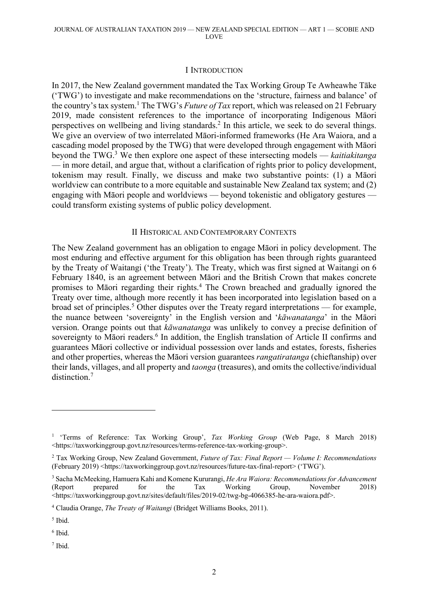#### I INTRODUCTION

In 2017, the New Zealand government mandated the Tax Working Group Te Awheawhe Tāke ('TWG') to investigate and make recommendations on the 'structure, fairness and balance' of the country's tax system.1 The TWG's *Future of Tax* report, which was released on 21 February 2019, made consistent references to the importance of incorporating Indigenous Māori perspectives on wellbeing and living standards. <sup>2</sup> In this article, we seek to do several things. We give an overview of two interrelated Māori-informed frameworks (He Ara Waiora, and a cascading model proposed by the TWG) that were developed through engagement with Māori beyond the TWG.3 We then explore one aspect of these intersecting models — *kaitiakitanga* — in more detail, and argue that, without a clarification of rights prior to policy development, tokenism may result. Finally, we discuss and make two substantive points: (1) a Māori worldview can contribute to a more equitable and sustainable New Zealand tax system; and (2) engaging with Māori people and worldviews — beyond tokenistic and obligatory gestures could transform existing systems of public policy development.

#### II HISTORICAL AND CONTEMPORARY CONTEXTS

The New Zealand government has an obligation to engage Māori in policy development. The most enduring and effective argument for this obligation has been through rights guaranteed by the Treaty of Waitangi ('the Treaty'). The Treaty, which was first signed at Waitangi on 6 February 1840, is an agreement between Māori and the British Crown that makes concrete promises to Māori regarding their rights. <sup>4</sup> The Crown breached and gradually ignored the Treaty over time, although more recently it has been incorporated into legislation based on a broad set of principles. <sup>5</sup> Other disputes over the Treaty regard interpretations — for example, the nuance between 'sovereignty' in the English version and '*kāwanatanga*' in the Māori version. Orange points out that *kāwanatanga* was unlikely to convey a precise definition of sovereignty to Māori readers.<sup>6</sup> In addition, the English translation of Article II confirms and guarantees Māori collective or individual possession over lands and estates, forests, fisheries and other properties, whereas the Māori version guarantees *rangatiratanga* (chieftanship) over their lands, villages, and all property and *taonga* (treasures), and omits the collective/individual distinction.<sup>7</sup>

<sup>7</sup> Ibid.

<sup>1</sup> 'Terms of Reference: Tax Working Group', *Tax Working Group* (Web Page, 8 March 2018) <https://taxworkinggroup.govt.nz/resources/terms-reference-tax-working-group>.

<sup>2</sup> Tax Working Group, New Zealand Government, *Future of Tax: Final Report — Volume I: Recommendations* (February 2019) <https://taxworkinggroup.govt.nz/resources/future-tax-final-report> ('TWG').

<sup>3</sup> Sacha McMeeking, Hamuera Kahi and Komene Kururangi, *He Ara Waiora: Recommendations for Advancement* (Report prepared for the Tax Working Group, November 2018) <https://taxworkinggroup.govt.nz/sites/default/files/2019-02/twg-bg-4066385-he-ara-waiora.pdf>.

<sup>4</sup> Claudia Orange, *The Treaty of Waitangi* (Bridget Williams Books, 2011).

<sup>5</sup> Ibid.

 $6$  Ibid.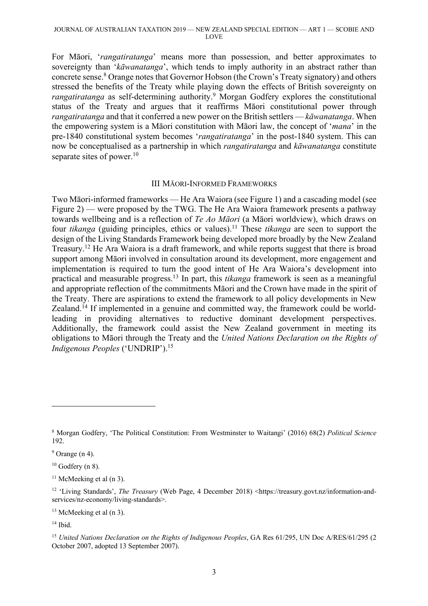For Māori, '*rangatiratanga*' means more than possession, and better approximates to sovereignty than '*kāwanatanga*', which tends to imply authority in an abstract rather than concrete sense.<sup>8</sup> Orange notes that Governor Hobson (the Crown's Treaty signatory) and others stressed the benefits of the Treaty while playing down the effects of British sovereignty on *rangatiratanga* as self-determining authority. <sup>9</sup> Morgan Godfery explores the constitutional status of the Treaty and argues that it reaffirms Māori constitutional power through *rangatiratanga* and that it conferred a new power on the British settlers — *kāwanatanga*. When the empowering system is a Māori constitution with Māori law, the concept of '*mana*' in the pre-1840 constitutional system becomes '*rangatiratanga*' in the post-1840 system. This can now be conceptualised as a partnership in which *rangatiratanga* and *kāwanatanga* constitute separate sites of power.<sup>10</sup>

#### III MĀORI-INFORMED FRAMEWORKS

Two Māori-informed frameworks — He Ara Waiora (see Figure 1) and a cascading model (see Figure 2) — were proposed by the TWG. The He Ara Waiora framework presents a pathway towards wellbeing and is a reflection of *Te Ao Māori* (a Māori worldview), which draws on four *tikanga* (guiding principles, ethics or values). <sup>11</sup> These *tikanga* are seen to support the design of the Living Standards Framework being developed more broadly by the New Zealand Treasury.<sup>12</sup> He Ara Waiora is a draft framework, and while reports suggest that there is broad support among Māori involved in consultation around its development, more engagement and implementation is required to turn the good intent of He Ara Waiora's development into practical and measurable progress. <sup>13</sup> In part, this *tikanga* framework is seen as a meaningful and appropriate reflection of the commitments Māori and the Crown have made in the spirit of the Treaty. There are aspirations to extend the framework to all policy developments in New Zealand.<sup>14</sup> If implemented in a genuine and committed way, the framework could be worldleading in providing alternatives to reductive dominant development perspectives. Additionally, the framework could assist the New Zealand government in meeting its obligations to Māori through the Treaty and the *United Nations Declaration on the Rights of Indigenous Peoples* ('UNDRIP'). 15

 $13$  McMeeking et al (n 3).

<sup>8</sup> Morgan Godfery, 'The Political Constitution: From Westminster to Waitangi' (2016) 68(2) *Political Science* 192.

 $9$  Orange (n 4).

 $10$  Godfery (n 8).

 $11$  McMeeking et al (n 3).

<sup>12</sup> 'Living Standards', *The Treasury* (Web Page, 4 December 2018) <https://treasury.govt.nz/information-andservices/nz-economy/living-standards>.

 $14$  Ibid.

<sup>15</sup> *United Nations Declaration on the Rights of Indigenous Peoples*, GA Res 61/295, UN Doc A/RES/61/295 (2 October 2007, adopted 13 September 2007).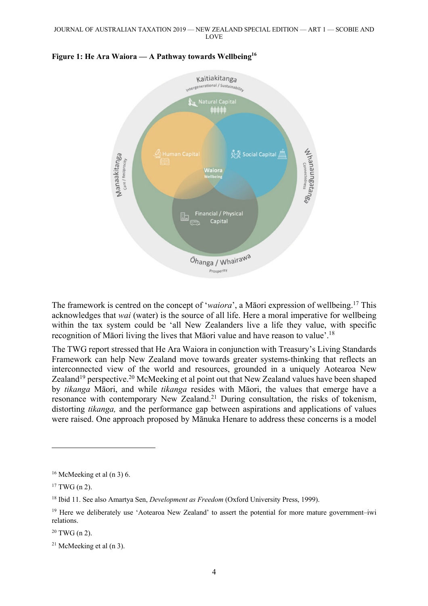

#### **Figure 1: He Ara Waiora — A Pathway towards Wellbeing16**

The framework is centred on the concept of '*waiora*', a Māori expression of wellbeing. <sup>17</sup> This acknowledges that *wai* (water) is the source of all life. Here a moral imperative for wellbeing within the tax system could be 'all New Zealanders live a life they value, with specific recognition of Māori living the lives that Māori value and have reason to value'.18

The TWG report stressed that He Ara Waiora in conjunction with Treasury's Living Standards Framework can help New Zealand move towards greater systems-thinking that reflects an interconnected view of the world and resources, grounded in a uniquely Aotearoa New Zealand<sup>19</sup> perspective.<sup>20</sup> McMeeking et al point out that New Zealand values have been shaped by *tikanga* Māori, and while *tikanga* resides with Māori, the values that emerge have a resonance with contemporary New Zealand.<sup>21</sup> During consultation, the risks of tokenism, distorting *tikanga,* and the performance gap between aspirations and applications of values were raised. One approach proposed by Mānuka Henare to address these concerns is a model

 $16$  McMeeking et al (n 3) 6.

 $17$  TWG (n 2).

<sup>18</sup> Ibid 11. See also Amartya Sen, *Development as Freedom* (Oxford University Press, 1999).

<sup>&</sup>lt;sup>19</sup> Here we deliberately use 'Aotearoa New Zealand' to assert the potential for more mature government–iwi relations.

 $20$  TWG (n 2).

 $21$  McMeeking et al (n 3).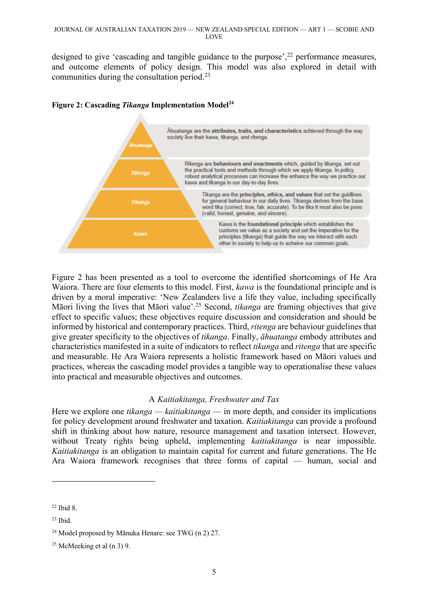designed to give 'cascading and tangible guidance to the purpose',<sup>22</sup> performance measures, and outcome elements of policy design. This model was also explored in detail with communities during the consultation period.<sup>23</sup>



### **Figure 2: Cascading** *Tikanga* **Implementation Model<sup>24</sup>**

Figure 2 has been presented as a tool to overcome the identified shortcomings of He Ara Waiora. There are four elements to this model. First, *kawa* is the foundational principle and is driven by a moral imperative: 'New Zealanders live a life they value, including specifically Māori living the lives that Māori value'.25 Second, *tikanga* are framing objectives that give effect to specific values; these objectives require discussion and consideration and should be informed by historical and contemporary practices. Third, *ritenga* are behaviour guidelines that give greater specificity to the objectives of *tikanga*. Finally, *āhuatanga* embody attributes and characteristics manifested in a suite of indicators to reflect *tikanga* and *ritenga* that are specific and measurable. He Ara Waiora represents a holistic framework based on Māori values and practices, whereas the cascading model provides a tangible way to operationalise these values into practical and measurable objectives and outcomes.

## A *Kaitiakitanga, Freshwater and Tax*

Here we explore one *tikanga* — *kaitiakitanga* — in more depth, and consider its implications for policy development around freshwater and taxation. *Kaitiakitanga* can provide a profound shift in thinking about how nature, resource management and taxation intersect. However, without Treaty rights being upheld, implementing *kaitiakitanga* is near impossible. *Kaitiakitanga* is an obligation to maintain capital for current and future generations. The He Ara Waiora framework recognises that three forms of capital — human, social and

 $22$  Ibid 8.

 $23$  Ibid.

<sup>24</sup> Model proposed by Mānuka Henare: see TWG (n 2) 27.

<sup>&</sup>lt;sup>25</sup> McMeeking et al  $(n 3)$  9.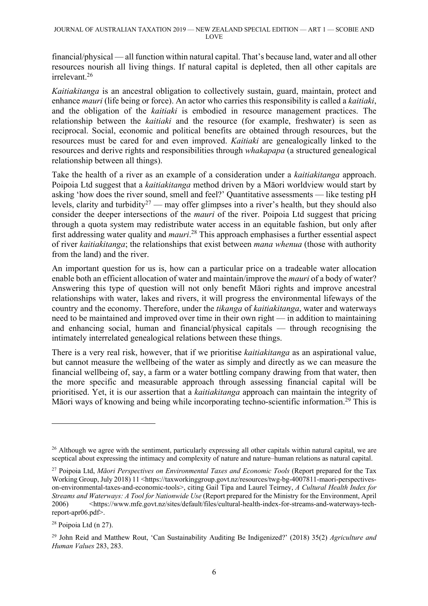financial/physical — all function within natural capital. That's because land, water and all other resources nourish all living things. If natural capital is depleted, then all other capitals are irrelevant. 26

*Kaitiakitanga* is an ancestral obligation to collectively sustain, guard, maintain, protect and enhance *mauri* (life being or force). An actor who carries this responsibility is called a *kaitiaki*, and the obligation of the *kaitiaki* is embodied in resource management practices. The relationship between the *kaitiaki* and the resource (for example, freshwater) is seen as reciprocal. Social, economic and political benefits are obtained through resources, but the resources must be cared for and even improved. *Kaitiaki* are genealogically linked to the resources and derive rights and responsibilities through *whakapapa* (a structured genealogical relationship between all things).

Take the health of a river as an example of a consideration under a *kaitiakitanga* approach. Poipoia Ltd suggest that a *kaitiakitanga* method driven by a Māori worldview would start by asking 'how does the river sound, smell and feel?' Quantitative assessments — like testing pH levels, clarity and turbidity<sup>27</sup> — may offer glimpses into a river's health, but they should also consider the deeper intersections of the *mauri* of the river. Poipoia Ltd suggest that pricing through a quota system may redistribute water access in an equitable fashion, but only after first addressing water quality and *mauri*. <sup>28</sup> This approach emphasises a further essential aspect of river *kaitiakitanga*; the relationships that exist between *mana whenua* (those with authority from the land) and the river.

An important question for us is, how can a particular price on a tradeable water allocation enable both an efficient allocation of water and maintain/improve the *mauri* of a body of water? Answering this type of question will not only benefit Māori rights and improve ancestral relationships with water, lakes and rivers, it will progress the environmental lifeways of the country and the economy. Therefore, under the *tikanga* of *kaitiakitanga*, water and waterways need to be maintained and improved over time in their own right — in addition to maintaining and enhancing social, human and financial/physical capitals — through recognising the intimately interrelated genealogical relations between these things.

There is a very real risk, however, that if we prioritise *kaitiakitanga* as an aspirational value, but cannot measure the wellbeing of the water as simply and directly as we can measure the financial wellbeing of, say, a farm or a water bottling company drawing from that water, then the more specific and measurable approach through assessing financial capital will be prioritised. Yet, it is our assertion that a *kaitiakitanga* approach can maintain the integrity of Māori ways of knowing and being while incorporating techno-scientific information.<sup>29</sup> This is

<sup>&</sup>lt;sup>26</sup> Although we agree with the sentiment, particularly expressing all other capitals within natural capital, we are sceptical about expressing the intimacy and complexity of nature and nature–human relations as natural capital.

<sup>&</sup>lt;sup>27</sup> Poipoia Ltd, *Māori Perspectives on Environmental Taxes and Economic Tools* (Report prepared for the Tax Working Group, July 2018) 11 <https://taxworkinggroup.govt.nz/resources/twg-bg-4007811-maori-perspectiveson-environmental-taxes-and-economic-tools>, citing Gail Tipa and Laurel Teirney, *A Cultural Health Index for Streams and Waterways: A Tool for Nationwide Use* (Report prepared for the Ministry for the Environment, April 2006) <https://www.mfe.govt.nz/sites/default/files/cultural-health-index-for-streams-and-waterways-techreport-apr06.pdf>.

<sup>28</sup> Poipoia Ltd (n 27).

<sup>29</sup> John Reid and Matthew Rout, 'Can Sustainability Auditing Be Indigenized?' (2018) 35(2) *Agriculture and Human Values* 283, 283.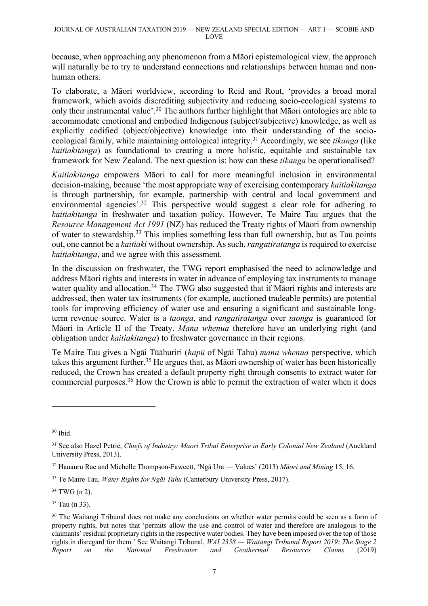because, when approaching any phenomenon from a Māori epistemological view, the approach will naturally be to try to understand connections and relationships between human and nonhuman others.

To elaborate, a Māori worldview, according to Reid and Rout, 'provides a broad moral framework, which avoids discrediting subjectivity and reducing socio-ecological systems to only their instrumental value'.<sup>30</sup> The authors further highlight that Māori ontologies are able to accommodate emotional and embodied Indigenous (subject/subjective) knowledge, as well as explicitly codified (object/objective) knowledge into their understanding of the socioecological family, while maintaining ontological integrity. <sup>31</sup> Accordingly, we see *tikanga* (like *kaitiakitanga*) as foundational to creating a more holistic, equitable and sustainable tax framework for New Zealand. The next question is: how can these *tikanga* be operationalised?

*Kaitiakitanga* empowers Māori to call for more meaningful inclusion in environmental decision-making, because 'the most appropriate way of exercising contemporary *kaitiakitanga* is through partnership, for example, partnership with central and local government and environmental agencies'.<sup>32</sup> This perspective would suggest a clear role for adhering to *kaitiakitanga* in freshwater and taxation policy. However, Te Maire Tau argues that the *Resource Management Act 1991* (NZ) has reduced the Treaty rights of Māori from ownership of water to stewardship.33 This implies something less than full ownership, but as Tau points out, one cannot be a *kaitiaki* without ownership. As such, *rangatiratanga* is required to exercise *kaitiakitanga*, and we agree with this assessment.

In the discussion on freshwater, the TWG report emphasised the need to acknowledge and address Māori rights and interests in water in advance of employing tax instruments to manage water quality and allocation.<sup>34</sup> The TWG also suggested that if Māori rights and interests are addressed, then water tax instruments (for example, auctioned tradeable permits) are potential tools for improving efficiency of water use and ensuring a significant and sustainable longterm revenue source. Water is a *taonga*, and *rangatiratanga* over *taonga* is guaranteed for Māori in Article II of the Treaty. *Mana whenua* therefore have an underlying right (and obligation under *kaitiakitanga*) to freshwater governance in their regions.

Te Maire Tau gives a Ngāi Tūāhuriri (*hapū* of Ngāi Tahu) *mana whenua* perspective, which takes this argument further.<sup>35</sup> He argues that, as Māori ownership of water has been historically reduced, the Crown has created a default property right through consents to extract water for commercial purposes.36 How the Crown is able to permit the extraction of water when it does

 $34$  TWG (n 2).

 $30$  Ibid.

<sup>31</sup> See also Hazel Petrie, *Chiefs of Industry: Maori Tribal Enterprise in Early Colonial New Zealand* (Auckland University Press, 2013).

<sup>32</sup> Hauauru Rae and Michelle Thompson-Fawcett, 'Ngā Ura — Values' (2013) *Māori and Mining* 15, 16.

<sup>&</sup>lt;sup>33</sup> Te Maire Tau, *Water Rights for Ngāi Tahu* (Canterbury University Press, 2017).

<sup>35</sup> Tau (n 33).

<sup>&</sup>lt;sup>36</sup> The Waitangi Tribunal does not make any conclusions on whether water permits could be seen as a form of property rights, but notes that 'permits allow the use and control of water and therefore are analogous to the claimants' residual proprietary rights in the respective water bodies. They have been imposed over the top of those rights in disregard for them.' See Waitangi Tribunal, *WAI 2358 — Waitangi Tribunal Report 2019: The Stage 2 Report on the National Freshwater and Geothermal Resources Claims* (2019)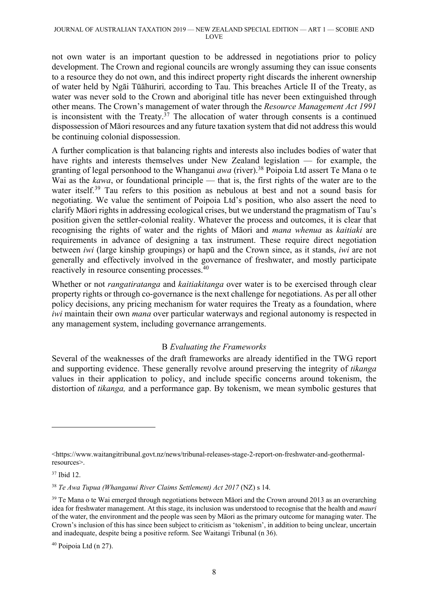not own water is an important question to be addressed in negotiations prior to policy development. The Crown and regional councils are wrongly assuming they can issue consents to a resource they do not own, and this indirect property right discards the inherent ownership of water held by Ngāi Tūāhuriri*,* according to Tau. This breaches Article II of the Treaty, as water was never sold to the Crown and aboriginal title has never been extinguished through other means. The Crown's management of water through the *Resource Management Act 1991* is inconsistent with the Treaty. $3^7$  The allocation of water through consents is a continued dispossession of Māori resources and any future taxation system that did not address this would be continuing colonial dispossession.

A further complication is that balancing rights and interests also includes bodies of water that have rights and interests themselves under New Zealand legislation — for example, the granting of legal personhood to the Whanganui *awa* (river). <sup>38</sup> Poipoia Ltd assert Te Mana o te Wai as the *kawa*, or foundational principle — that is, the first rights of the water are to the water itself.<sup>39</sup> Tau refers to this position as nebulous at best and not a sound basis for negotiating. We value the sentiment of Poipoia Ltd's position, who also assert the need to clarify Māori rights in addressing ecological crises, but we understand the pragmatism of Tau's position given the settler-colonial reality. Whatever the process and outcomes, it is clear that recognising the rights of water and the rights of Māori and *mana whenua* as *kaitiaki* are requirements in advance of designing a tax instrument. These require direct negotiation between *iwi* (large kinship groupings) or hapū and the Crown since, as it stands, *iwi* are not generally and effectively involved in the governance of freshwater, and mostly participate reactively in resource consenting processes.40

Whether or not *rangatiratanga* and *kaitiakitanga* over water is to be exercised through clear property rights or through co-governance is the next challenge for negotiations. As per all other policy decisions, any pricing mechanism for water requires the Treaty as a foundation, where *iwi* maintain their own *mana* over particular waterways and regional autonomy is respected in any management system, including governance arrangements.

## B *Evaluating the Frameworks*

Several of the weaknesses of the draft frameworks are already identified in the TWG report and supporting evidence. These generally revolve around preserving the integrity of *tikanga* values in their application to policy, and include specific concerns around tokenism, the distortion of *tikanga,* and a performance gap. By tokenism, we mean symbolic gestures that

<sup>&</sup>lt;https://www.waitangitribunal.govt.nz/news/tribunal-releases-stage-2-report-on-freshwater-and-geothermalresources>.

<sup>37</sup> Ibid 12.

<sup>38</sup> *Te Awa Tupua (Whanganui River Claims Settlement) Act 2017* (NZ) s 14.

<sup>&</sup>lt;sup>39</sup> Te Mana o te Wai emerged through negotiations between Māori and the Crown around 2013 as an overarching idea for freshwater management. At this stage, its inclusion was understood to recognise that the health and *mauri* of the water, the environment and the people was seen by Māori as the primary outcome for managing water. The Crown's inclusion of this has since been subject to criticism as 'tokenism', in addition to being unclear, uncertain and inadequate, despite being a positive reform. See Waitangi Tribunal (n 36).

<sup>40</sup> Poipoia Ltd (n 27).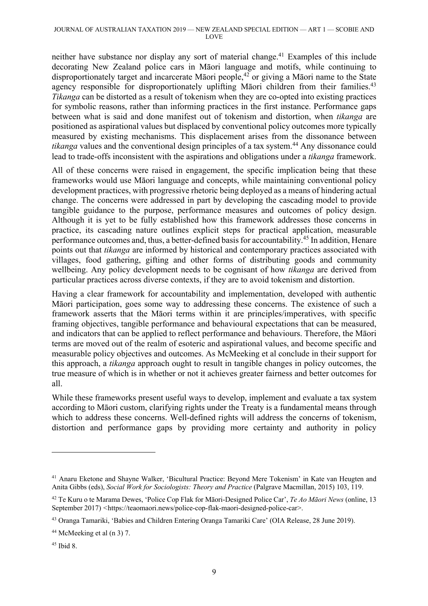neither have substance nor display any sort of material change.<sup>41</sup> Examples of this include decorating New Zealand police cars in Māori language and motifs, while continuing to disproportionately target and incarcerate Māori people,42 or giving a Māori name to the State agency responsible for disproportionately uplifting Māori children from their families.<sup>43</sup> *Tikanga* can be distorted as a result of tokenism when they are co-opted into existing practices for symbolic reasons, rather than informing practices in the first instance. Performance gaps between what is said and done manifest out of tokenism and distortion, when *tikanga* are positioned as aspirational values but displaced by conventional policy outcomes more typically measured by existing mechanisms. This displacement arises from the dissonance between *tikanga* values and the conventional design principles of a tax system.<sup>44</sup> Any dissonance could lead to trade-offs inconsistent with the aspirations and obligations under a *tikanga* framework.

All of these concerns were raised in engagement, the specific implication being that these frameworks would use Māori language and concepts, while maintaining conventional policy development practices, with progressive rhetoric being deployed as a means of hindering actual change. The concerns were addressed in part by developing the cascading model to provide tangible guidance to the purpose, performance measures and outcomes of policy design. Although it is yet to be fully established how this framework addresses those concerns in practice, its cascading nature outlines explicit steps for practical application, measurable performance outcomes and, thus, a better-defined basis for accountability.45 In addition, Henare points out that *tikanga* are informed by historical and contemporary practices associated with villages, food gathering, gifting and other forms of distributing goods and community wellbeing. Any policy development needs to be cognisant of how *tikanga* are derived from particular practices across diverse contexts, if they are to avoid tokenism and distortion.

Having a clear framework for accountability and implementation, developed with authentic Māori participation, goes some way to addressing these concerns. The existence of such a framework asserts that the Māori terms within it are principles/imperatives, with specific framing objectives, tangible performance and behavioural expectations that can be measured, and indicators that can be applied to reflect performance and behaviours. Therefore, the Māori terms are moved out of the realm of esoteric and aspirational values, and become specific and measurable policy objectives and outcomes. As McMeeking et al conclude in their support for this approach, a *tikanga* approach ought to result in tangible changes in policy outcomes, the true measure of which is in whether or not it achieves greater fairness and better outcomes for all.

While these frameworks present useful ways to develop, implement and evaluate a tax system according to Māori custom, clarifying rights under the Treaty is a fundamental means through which to address these concerns. Well-defined rights will address the concerns of tokenism, distortion and performance gaps by providing more certainty and authority in policy

<sup>41</sup> Anaru Eketone and Shayne Walker, 'Bicultural Practice: Beyond Mere Tokenism' in Kate van Heugten and Anita Gibbs (eds), *Social Work for Sociologists: Theory and Practice* (Palgrave Macmillan, 2015) 103, 119.

<sup>42</sup> Te Kuru o te Marama Dewes, 'Police Cop Flak for Māori-Designed Police Car', *Te Ao Māori News* (online, 13 September 2017) *<*https://teaomaori.news/police-cop-flak-maori-designed-police-car>.

<sup>43</sup> Oranga Tamariki, 'Babies and Children Entering Oranga Tamariki Care' (OIA Release, 28 June 2019).

 $44$  McMeeking et al (n 3) 7.

<sup>45</sup> Ibid 8.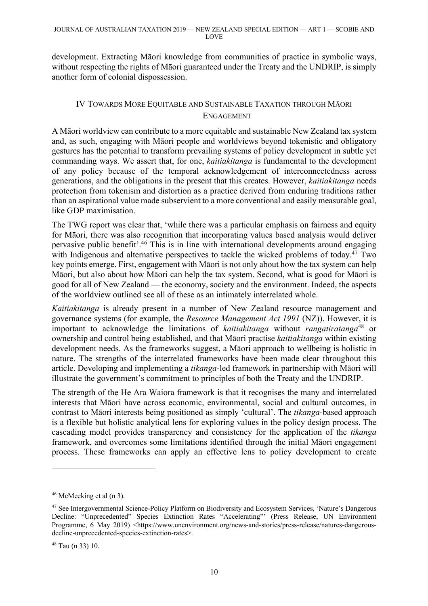development. Extracting Māori knowledge from communities of practice in symbolic ways, without respecting the rights of Māori guaranteed under the Treaty and the UNDRIP, is simply another form of colonial dispossession.

# IV TOWARDS MORE EQUITABLE AND SUSTAINABLE TAXATION THROUGH MĀORI ENGAGEMENT

A Māori worldview can contribute to a more equitable and sustainable New Zealand tax system and, as such, engaging with Māori people and worldviews beyond tokenistic and obligatory gestures has the potential to transform prevailing systems of policy development in subtle yet commanding ways. We assert that, for one, *kaitiakitanga* is fundamental to the development of any policy because of the temporal acknowledgement of interconnectedness across generations, and the obligations in the present that this creates. However, *kaitiakitanga* needs protection from tokenism and distortion as a practice derived from enduring traditions rather than an aspirational value made subservient to a more conventional and easily measurable goal, like GDP maximisation.

The TWG report was clear that, 'while there was a particular emphasis on fairness and equity for Māori, there was also recognition that incorporating values based analysis would deliver pervasive public benefit'.46 This is in line with international developments around engaging with Indigenous and alternative perspectives to tackle the wicked problems of today.<sup>47</sup> Two key points emerge. First, engagement with Māori is not only about how the tax system can help Māori, but also about how Māori can help the tax system. Second, what is good for Māori is good for all of New Zealand — the economy, society and the environment. Indeed, the aspects of the worldview outlined see all of these as an intimately interrelated whole.

*Kaitiakitanga* is already present in a number of New Zealand resource management and governance systems (for example, the *Resource Management Act 1991* (NZ)). However, it is important to acknowledge the limitations of *kaitiakitanga* without *rangatiratanga*<sup>48</sup> or ownership and control being established*,* and that Māori practise *kaitiakitanga* within existing development needs. As the frameworks suggest, a Māori approach to wellbeing is holistic in nature. The strengths of the interrelated frameworks have been made clear throughout this article. Developing and implementing a *tikanga*-led framework in partnership with Māori will illustrate the government's commitment to principles of both the Treaty and the UNDRIP.

The strength of the He Ara Waiora framework is that it recognises the many and interrelated interests that Māori have across economic, environmental, social and cultural outcomes, in contrast to Māori interests being positioned as simply 'cultural'. The *tikanga*-based approach is a flexible but holistic analytical lens for exploring values in the policy design process. The cascading model provides transparency and consistency for the application of the *tikanga* framework, and overcomes some limitations identified through the initial Māori engagement process. These frameworks can apply an effective lens to policy development to create

<sup>46</sup> McMeeking et al (n 3).

<sup>47</sup> See Intergovernmental Science-Policy Platform on Biodiversity and Ecosystem Services, 'Nature's Dangerous Decline: "Unprecedented" Species Extinction Rates "Accelerating"' (Press Release, UN Environment Programme, 6 May 2019) <https://www.unenvironment.org/news-and-stories/press-release/natures-dangerousdecline-unprecedented-species-extinction-rates>.

<sup>48</sup> Tau (n 33) 10.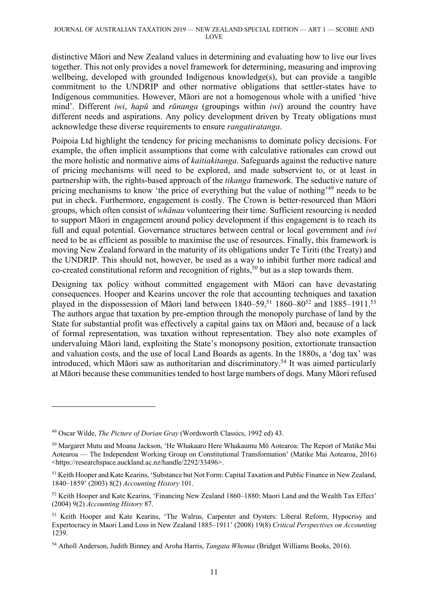distinctive Māori and New Zealand values in determining and evaluating how to live our lives together. This not only provides a novel framework for determining, measuring and improving wellbeing, developed with grounded Indigenous knowledge(s), but can provide a tangible commitment to the UNDRIP and other normative obligations that settler-states have to Indigenous communities. However, Māori are not a homogenous whole with a unified 'hive mind'. Different *iwi*, *hapū* and *rūnanga* (groupings within *iwi*) around the country have different needs and aspirations. Any policy development driven by Treaty obligations must acknowledge these diverse requirements to ensure *rangatiratanga*.

Poipoia Ltd highlight the tendency for pricing mechanisms to dominate policy decisions. For example, the often implicit assumptions that come with calculative rationales can crowd out the more holistic and normative aims of *kaitiakitanga*. Safeguards against the reductive nature of pricing mechanisms will need to be explored, and made subservient to, or at least in partnership with, the rights-based approach of the *tikanga* framework. The seductive nature of pricing mechanisms to know 'the price of everything but the value of nothing'49 needs to be put in check. Furthermore, engagement is costly. The Crown is better-resourced than Māori groups, which often consist of *whānau* volunteering their time. Sufficient resourcing is needed to support Māori in engagement around policy development if this engagement is to reach its full and equal potential. Governance structures between central or local government and *iwi* need to be as efficient as possible to maximise the use of resources. Finally, this framework is moving New Zealand forward in the maturity of its obligations under Te Tiriti (the Treaty) and the UNDRIP. This should not, however, be used as a way to inhibit further more radical and  $\alpha$ -created constitutional reform and recognition of rights,<sup>50</sup> but as a step towards them.

Designing tax policy without committed engagement with Māori can have devastating consequences. Hooper and Kearins uncover the role that accounting techniques and taxation played in the dispossession of Māori land between 1840–59,<sup>51</sup> 1860–80<sup>52</sup> and 1885–1911.<sup>53</sup> The authors argue that taxation by pre-emption through the monopoly purchase of land by the State for substantial profit was effectively a capital gains tax on Māori and, because of a lack of formal representation, was taxation without representation. They also note examples of undervaluing Māori land, exploiting the State's monopsony position, extortionate transaction and valuation costs, and the use of local Land Boards as agents. In the 1880s, a 'dog tax' was introduced, which Māori saw as authoritarian and discriminatory. <sup>54</sup> It was aimed particularly at Māori because these communities tended to host large numbers of dogs. Many Māori refused

<sup>49</sup> Oscar Wilde, *The Picture of Dorian Gray* (Wordsworth Classics, 1992 ed) 43.

<sup>50</sup> Margaret Mutu and Moana Jackson, 'He Whakaaro Here Whakaumu Mō Aotearoa: The Report of Matike Mai Aotearoa — The Independent Working Group on Constitutional Transformation' (Matike Mai Aotearoa, 2016) <https://researchspace.auckland.ac.nz/handle/2292/33496>.

<sup>51</sup> Keith Hooper and Kate Kearins, 'Substance but Not Form: Capital Taxation and Public Finance in New Zealand, 1840–1859' (2003) 8(2) *Accounting History* 101.

<sup>52</sup> Keith Hooper and Kate Kearins, 'Financing New Zealand 1860–1880: Maori Land and the Wealth Tax Effect' (2004) 9(2) *Accounting History* 87.

<sup>&</sup>lt;sup>53</sup> Keith Hooper and Kate Kearins, 'The Walrus, Carpenter and Oysters: Liberal Reform, Hypocrisy and Expertocracy in Maori Land Loss in New Zealand 1885–1911' (2008) 19(8) *Critical Perspectives on Accounting* 1239.

<sup>54</sup> Atholl Anderson, Judith Binney and Aroha Harris, *Tangata Whenua* (Bridget Williams Books, 2016).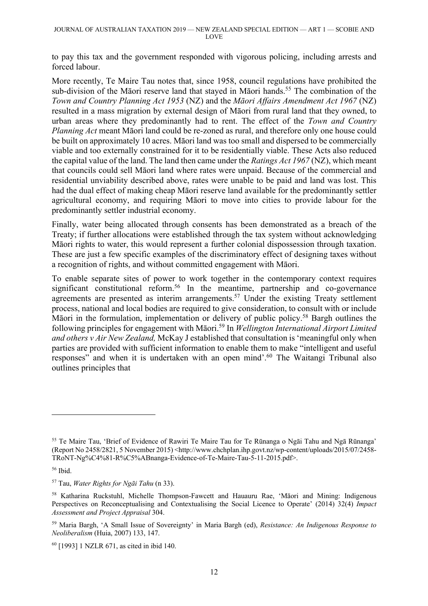to pay this tax and the government responded with vigorous policing, including arrests and forced labour.

More recently, Te Maire Tau notes that, since 1958, council regulations have prohibited the sub-division of the Māori reserve land that stayed in Māori hands.<sup>55</sup> The combination of the *Town and Country Planning Act 1953* (NZ) and the *Māori Affairs Amendment Act 1967* (NZ) resulted in a mass migration by external design of Māori from rural land that they owned, to urban areas where they predominantly had to rent. The effect of the *Town and Country Planning Act* meant Māori land could be re-zoned as rural, and therefore only one house could be built on approximately 10 acres. Māori land was too small and dispersed to be commercially viable and too externally constrained for it to be residentially viable. These Acts also reduced the capital value of the land. The land then came under the *Ratings Act 1967* (NZ), which meant that councils could sell Māori land where rates were unpaid. Because of the commercial and residential unviability described above, rates were unable to be paid and land was lost. This had the dual effect of making cheap Māori reserve land available for the predominantly settler agricultural economy, and requiring Māori to move into cities to provide labour for the predominantly settler industrial economy.

Finally, water being allocated through consents has been demonstrated as a breach of the Treaty; if further allocations were established through the tax system without acknowledging Māori rights to water, this would represent a further colonial dispossession through taxation. These are just a few specific examples of the discriminatory effect of designing taxes without a recognition of rights, and without committed engagement with Māori.

To enable separate sites of power to work together in the contemporary context requires significant constitutional reform. <sup>56</sup> In the meantime, partnership and co-governance agreements are presented as interim arrangements.<sup>57</sup> Under the existing Treaty settlement process, national and local bodies are required to give consideration, to consult with or include Māori in the formulation, implementation or delivery of public policy. <sup>58</sup> Bargh outlines the following principles for engagement with Māori. <sup>59</sup> In *Wellington International Airport Limited and others v Air New Zealand,* McKay J established that consultation is 'meaningful only when parties are provided with sufficient information to enable them to make "intelligent and useful responses" and when it is undertaken with an open mind'.<sup>60</sup> The Waitangi Tribunal also outlines principles that

<sup>55</sup> Te Maire Tau, 'Brief of Evidence of Rawiri Te Maire Tau for Te Rūnanga o Ngāi Tahu and Ngā Rūnanga' (Report No 2458/2821, 5 November 2015) <http://www.chchplan.ihp.govt.nz/wp-content/uploads/2015/07/2458- TRoNT-Ng%C4%81-R%C5%ABnanga-Evidence-of-Te-Maire-Tau-5-11-2015.pdf>.

<sup>56</sup> Ibid.

<sup>57</sup> Tau, *Water Rights for Ngāi Tahu* (n 33).

<sup>58</sup> Katharina Ruckstuhl, Michelle Thompson-Fawcett and Hauauru Rae, 'Māori and Mining: Indigenous Perspectives on Reconceptualising and Contextualising the Social Licence to Operate' (2014) 32(4) *Impact Assessment and Project Appraisal* 304.

<sup>59</sup> Maria Bargh, 'A Small Issue of Sovereignty' in Maria Bargh (ed), *Resistance: An Indigenous Response to Neoliberalism* (Huia, 2007) 133, 147.

<sup>60</sup> [1993] 1 NZLR 671, as cited in ibid 140.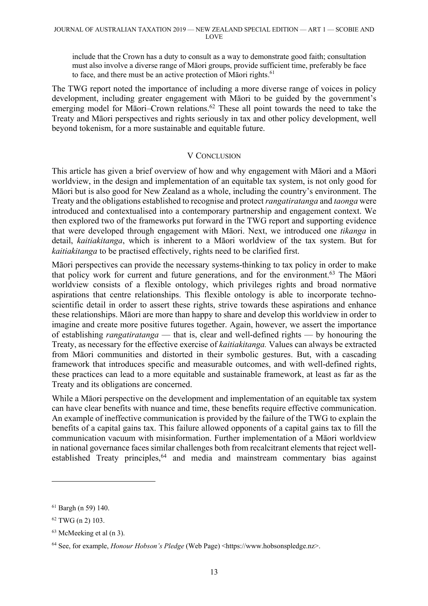include that the Crown has a duty to consult as a way to demonstrate good faith; consultation must also involve a diverse range of Māori groups, provide sufficient time, preferably be face to face, and there must be an active protection of Māori rights.<sup>61</sup>

The TWG report noted the importance of including a more diverse range of voices in policy development, including greater engagement with Māori to be guided by the government's emerging model for Māori–Crown relations.<sup>62</sup> These all point towards the need to take the Treaty and Māori perspectives and rights seriously in tax and other policy development, well beyond tokenism, for a more sustainable and equitable future.

#### V CONCLUSION

This article has given a brief overview of how and why engagement with Māori and a Māori worldview, in the design and implementation of an equitable tax system, is not only good for Māori but is also good for New Zealand as a whole, including the country's environment. The Treaty and the obligations established to recognise and protect *rangatiratanga* and *taonga* were introduced and contextualised into a contemporary partnership and engagement context. We then explored two of the frameworks put forward in the TWG report and supporting evidence that were developed through engagement with Māori. Next, we introduced one *tikanga* in detail, *kaitiakitanga*, which is inherent to a Māori worldview of the tax system. But for *kaitiakitanga* to be practised effectively, rights need to be clarified first.

Māori perspectives can provide the necessary systems-thinking to tax policy in order to make that policy work for current and future generations, and for the environment. <sup>63</sup> The Māori worldview consists of a flexible ontology, which privileges rights and broad normative aspirations that centre relationships. This flexible ontology is able to incorporate technoscientific detail in order to assert these rights, strive towards these aspirations and enhance these relationships. Māori are more than happy to share and develop this worldview in order to imagine and create more positive futures together. Again, however, we assert the importance of establishing *rangatiratanga* — that is, clear and well-defined rights — by honouring the Treaty, as necessary for the effective exercise of *kaitiakitanga.* Values can always be extracted from Māori communities and distorted in their symbolic gestures. But, with a cascading framework that introduces specific and measurable outcomes, and with well-defined rights, these practices can lead to a more equitable and sustainable framework, at least as far as the Treaty and its obligations are concerned.

While a Māori perspective on the development and implementation of an equitable tax system can have clear benefits with nuance and time, these benefits require effective communication. An example of ineffective communication is provided by the failure of the TWG to explain the benefits of a capital gains tax. This failure allowed opponents of a capital gains tax to fill the communication vacuum with misinformation. Further implementation of a Māori worldview in national governance faces similar challenges both from recalcitrant elements that reject wellestablished Treaty principles,<sup>64</sup> and media and mainstream commentary bias against

<sup>61</sup> Bargh (n 59) 140.

<sup>62</sup> TWG (n 2) 103.

<sup>63</sup> McMeeking et al (n 3).

<sup>64</sup> See, for example, *Honour Hobson's Pledge* (Web Page) <https://www.hobsonspledge.nz>.